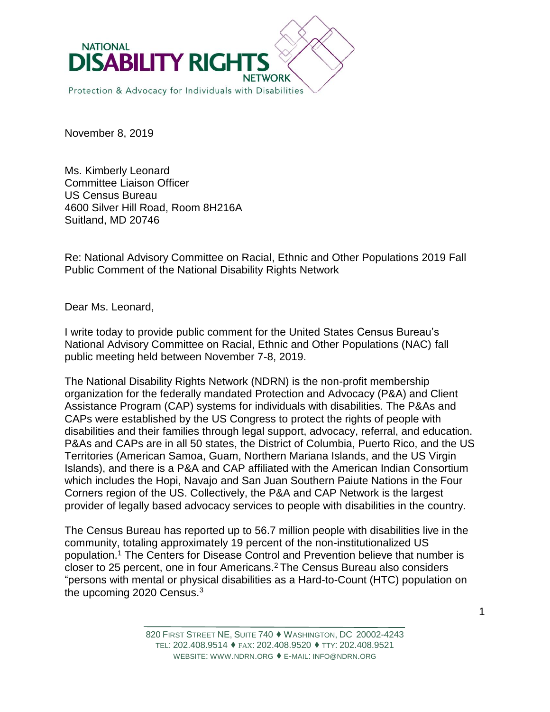

November 8, 2019

Ms. Kimberly Leonard Committee Liaison Officer US Census Bureau 4600 Silver Hill Road, Room 8H216A Suitland, MD 20746

Re: National Advisory Committee on Racial, Ethnic and Other Populations 2019 Fall Public Comment of the National Disability Rights Network

Dear Ms. Leonard,

I write today to provide public comment for the United States Census Bureau's National Advisory Committee on Racial, Ethnic and Other Populations (NAC) fall public meeting held between November 7-8, 2019.

The National Disability Rights Network (NDRN) is the non-profit membership organization for the federally mandated Protection and Advocacy (P&A) and Client Assistance Program (CAP) systems for individuals with disabilities. The P&As and CAPs were established by the US Congress to protect the rights of people with disabilities and their families through legal support, advocacy, referral, and education. P&As and CAPs are in all 50 states, the District of Columbia, Puerto Rico, and the US Territories (American Samoa, Guam, Northern Mariana Islands, and the US Virgin Islands), and there is a P&A and CAP affiliated with the American Indian Consortium which includes the Hopi, Navajo and San Juan Southern Paiute Nations in the Four Corners region of the US. Collectively, the P&A and CAP Network is the largest provider of legally based advocacy services to people with disabilities in the country.

The Census Bureau has reported up to 56.7 million people with disabilities live in the community, totaling approximately 19 percent of the non-institutionalized US population.<sup>1</sup> The Centers for Disease Control and Prevention believe that number is closer to 25 percent, one in four Americans. <sup>2</sup> The Census Bureau also considers "persons with mental or physical disabilities as a Hard-to-Count (HTC) population on the upcoming 2020 Census.3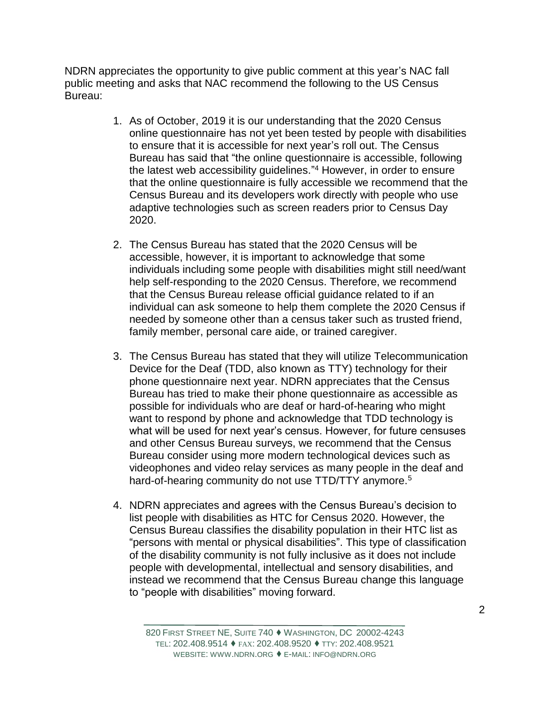NDRN appreciates the opportunity to give public comment at this year's NAC fall public meeting and asks that NAC recommend the following to the US Census Bureau:

- 1. As of October, 2019 it is our understanding that the 2020 Census online questionnaire has not yet been tested by people with disabilities to ensure that it is accessible for next year's roll out. The Census Bureau has said that "the online questionnaire is accessible, following the latest web accessibility guidelines." <sup>4</sup> However, in order to ensure that the online questionnaire is fully accessible we recommend that the Census Bureau and its developers work directly with people who use adaptive technologies such as screen readers prior to Census Day 2020.
- 2. The Census Bureau has stated that the 2020 Census will be accessible, however, it is important to acknowledge that some individuals including some people with disabilities might still need/want help self-responding to the 2020 Census. Therefore, we recommend that the Census Bureau release official guidance related to if an individual can ask someone to help them complete the 2020 Census if needed by someone other than a census taker such as trusted friend, family member, personal care aide, or trained caregiver.
- 3. The Census Bureau has stated that they will utilize Telecommunication Device for the Deaf (TDD, also known as TTY) technology for their phone questionnaire next year. NDRN appreciates that the Census Bureau has tried to make their phone questionnaire as accessible as possible for individuals who are deaf or hard-of-hearing who might want to respond by phone and acknowledge that TDD technology is what will be used for next year's census. However, for future censuses and other Census Bureau surveys, we recommend that the Census Bureau consider using more modern technological devices such as videophones and video relay services as many people in the deaf and hard-of-hearing community do not use TTD/TTY anymore.<sup>5</sup>
- 4. NDRN appreciates and agrees with the Census Bureau's decision to list people with disabilities as HTC for Census 2020. However, the Census Bureau classifies the disability population in their HTC list as "persons with mental or physical disabilities". This type of classification of the disability community is not fully inclusive as it does not include people with developmental, intellectual and sensory disabilities, and instead we recommend that the Census Bureau change this language to "people with disabilities" moving forward.